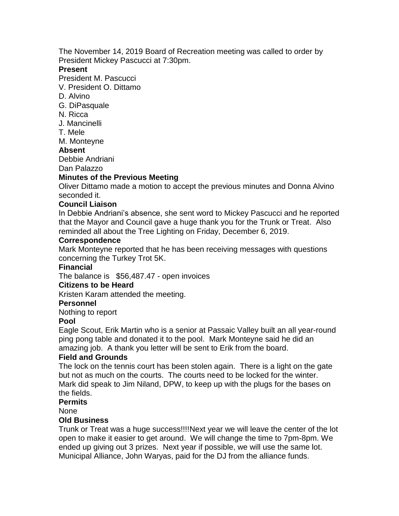The November 14, 2019 Board of Recreation meeting was called to order by President Mickey Pascucci at 7:30pm.

#### **Present**

President M. Pascucci

V. President O. Dittamo

- D. Alvino
- G. DiPasquale
- N. Ricca
- J. Mancinelli
- T. Mele

M. Monteyne

## **Absent**

Debbie Andriani

Dan Palazzo

## **Minutes of the Previous Meeting**

Oliver Dittamo made a motion to accept the previous minutes and Donna Alvino seconded it.

## **Council Liaison**

In Debbie Andriani's absence, she sent word to Mickey Pascucci and he reported that the Mayor and Council gave a huge thank you for the Trunk or Treat. Also reminded all about the Tree Lighting on Friday, December 6, 2019.

#### **Correspondence**

Mark Monteyne reported that he has been receiving messages with questions concerning the Turkey Trot 5K.

#### **Financial**

The balance is \$56,487.47 - open invoices

#### **Citizens to be Heard**

Kristen Karam attended the meeting.

#### **Personnel**

Nothing to report

#### **Pool**

Eagle Scout, Erik Martin who is a senior at Passaic Valley built an all year-round ping pong table and donated it to the pool. Mark Monteyne said he did an amazing job. A thank you letter will be sent to Erik from the board.

#### **Field and Grounds**

The lock on the tennis court has been stolen again. There is a light on the gate but not as much on the courts. The courts need to be locked for the winter. Mark did speak to Jim Niland, DPW, to keep up with the plugs for the bases on the fields.

#### **Permits**

None

#### **Old Business**

Trunk or Treat was a huge success!!!!Next year we will leave the center of the lot open to make it easier to get around. We will change the time to 7pm-8pm. We ended up giving out 3 prizes. Next year if possible, we will use the same lot. Municipal Alliance, John Waryas, paid for the DJ from the alliance funds.